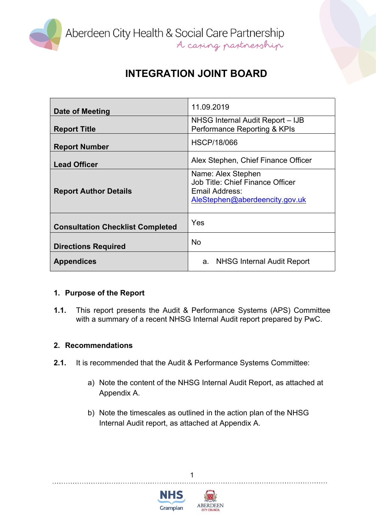

Aberdeen City Health & Social Care Partnership<br>A caning partnership

# **INTEGRATION JOINT BOARD**

| Date of Meeting                         | 11.09.2019                                                                                                 |
|-----------------------------------------|------------------------------------------------------------------------------------------------------------|
| <b>Report Title</b>                     | NHSG Internal Audit Report - IJB<br>Performance Reporting & KPIs                                           |
| <b>Report Number</b>                    | <b>HSCP/18/066</b>                                                                                         |
| <b>Lead Officer</b>                     | Alex Stephen, Chief Finance Officer                                                                        |
| <b>Report Author Details</b>            | Name: Alex Stephen<br>Job Title: Chief Finance Officer<br>Email Address:<br>AleStephen@aberdeencity.gov.uk |
| <b>Consultation Checklist Completed</b> | Yes                                                                                                        |
| <b>Directions Required</b>              | <b>No</b>                                                                                                  |
| <b>Appendices</b>                       | a. NHSG Internal Audit Report                                                                              |

### **1. Purpose of the Report**

**1.1.** This report presents the Audit & Performance Systems (APS) Committee with a summary of a recent NHSG Internal Audit report prepared by PwC.

### **2. Recommendations**

- **2.1.** It is recommended that the Audit & Performance Systems Committee:
	- a) Note the content of the NHSG Internal Audit Report, as attached at Appendix A.
	- b) Note the timescales as outlined in the action plan of the NHSG Internal Audit report, as attached at Appendix A.

1



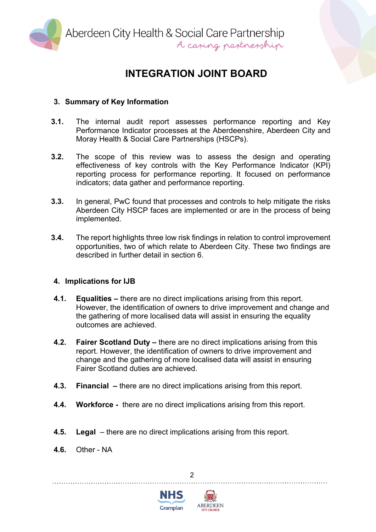

Aberdeen City Health & Social Care Partnership<br>A caring partnership

## **INTEGRATION JOINT BOARD**

### **3. Summary of Key Information**

- **3.1.** The internal audit report assesses performance reporting and Key Performance Indicator processes at the Aberdeenshire, Aberdeen City and Moray Health & Social Care Partnerships (HSCPs).
- **3.2.** The scope of this review was to assess the design and operating effectiveness of key controls with the Key Performance Indicator (KPI) reporting process for performance reporting. It focused on performance indicators; data gather and performance reporting.
- **3.3.** In general, PwC found that processes and controls to help mitigate the risks Aberdeen City HSCP faces are implemented or are in the process of being implemented.
- **3.4.** The report highlights three low risk findings in relation to control improvement opportunities, two of which relate to Aberdeen City. These two findings are described in further detail in section 6.

### **4. Implications for IJB**

- **4.1. Equalities –** there are no direct implications arising from this report. However, the identification of owners to drive improvement and change and the gathering of more localised data will assist in ensuring the equality outcomes are achieved.
- **4.2. Fairer Scotland Duty –** there are no direct implications arising from this report. However, the identification of owners to drive improvement and change and the gathering of more localised data will assist in ensuring Fairer Scotland duties are achieved.
- **4.3. Financial –** there are no direct implications arising from this report.
- **4.4. Workforce -** there are no direct implications arising from this report.
- **4.5. Legal** there are no direct implications arising from this report.
- **4.6.** Other NA



 $\mathfrak{p}$